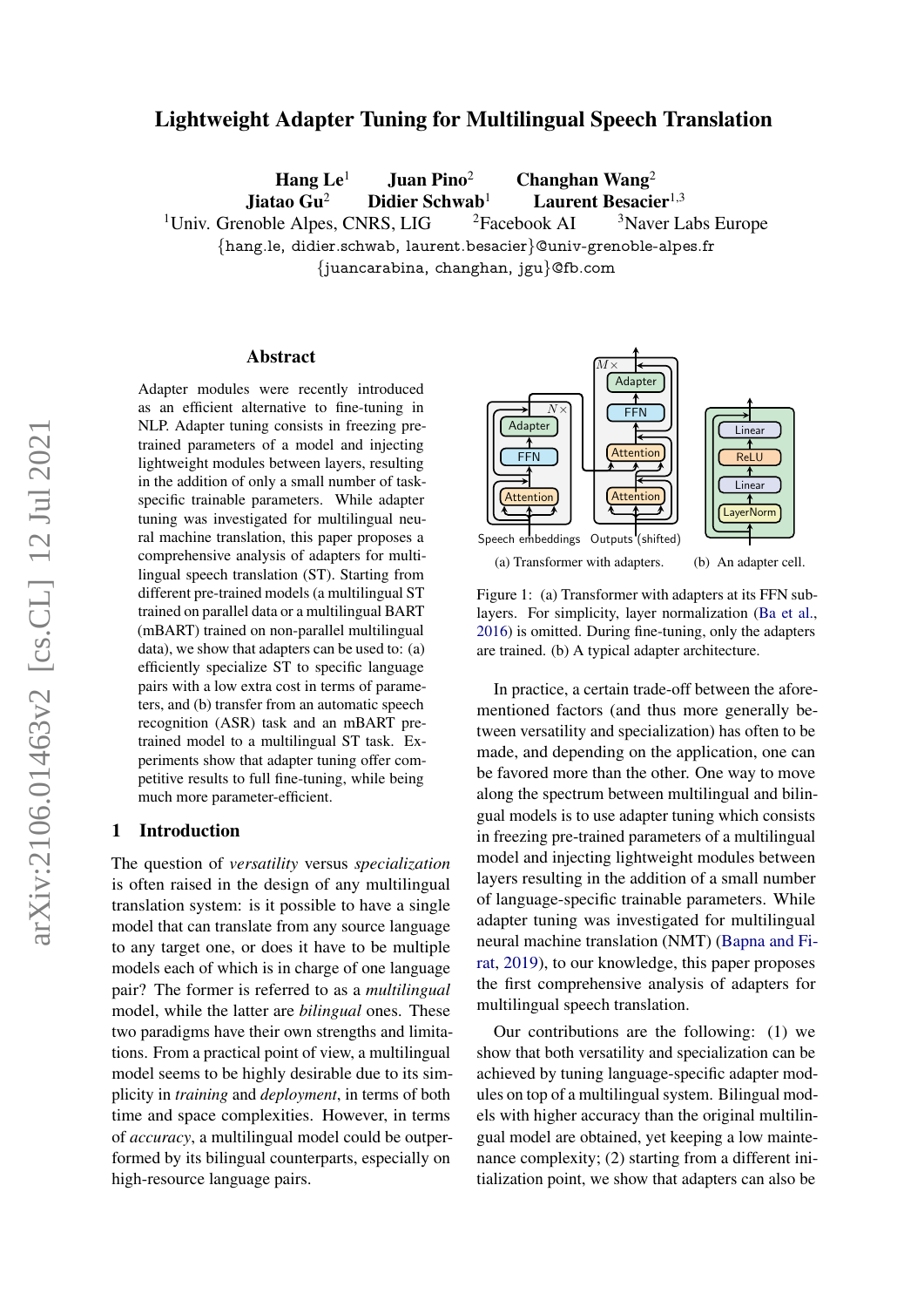# Lightweight Adapter Tuning for Multilingual Speech Translation

Hang  $Le<sup>1</sup>$  Juan Pino<sup>2</sup> Changhan Wang<sup>2</sup>

Jiatao Gu<sup>2</sup> Didier Schwab<sup>1</sup> Laurent Besacier<sup>1,3</sup>

<sup>1</sup>Univ. Grenoble Alpes, CNRS, LIG  $\frac{2F}{3}$  <sup>2</sup>Facebook AI  $\frac{3}{3}$  Naver Labs Europe {hang.le, didier.schwab, laurent.besacier}@univ-grenoble-alpes.fr

{juancarabina, changhan, jgu}@fb.com

### Abstract

Adapter modules were recently introduced as an efficient alternative to fine-tuning in NLP. Adapter tuning consists in freezing pretrained parameters of a model and injecting lightweight modules between layers, resulting in the addition of only a small number of taskspecific trainable parameters. While adapter tuning was investigated for multilingual neural machine translation, this paper proposes a comprehensive analysis of adapters for multilingual speech translation (ST). Starting from different pre-trained models (a multilingual ST trained on parallel data or a multilingual BART (mBART) trained on non-parallel multilingual data), we show that adapters can be used to: (a) efficiently specialize ST to specific language pairs with a low extra cost in terms of parameters, and (b) transfer from an automatic speech recognition (ASR) task and an mBART pretrained model to a multilingual ST task. Experiments show that adapter tuning offer competitive results to full fine-tuning, while being much more parameter-efficient.

## 1 Introduction

The question of *versatility* versus *specialization* is often raised in the design of any multilingual translation system: is it possible to have a single model that can translate from any source language to any target one, or does it have to be multiple models each of which is in charge of one language pair? The former is referred to as a *multilingual* model, while the latter are *bilingual* ones. These two paradigms have their own strengths and limitations. From a practical point of view, a multilingual model seems to be highly desirable due to its simplicity in *training* and *deployment*, in terms of both time and space complexities. However, in terms of *accuracy*, a multilingual model could be outperformed by its bilingual counterparts, especially on high-resource language pairs.

<span id="page-0-0"></span>

Figure 1: (a) Transformer with adapters at its FFN sublayers. For simplicity, layer normalization [\(Ba et al.,](#page-5-0) [2016\)](#page-5-0) is omitted. During fine-tuning, only the adapters are trained. (b) A typical adapter architecture.

In practice, a certain trade-off between the aforementioned factors (and thus more generally between versatility and specialization) has often to be made, and depending on the application, one can be favored more than the other. One way to move along the spectrum between multilingual and bilingual models is to use adapter tuning which consists in freezing pre-trained parameters of a multilingual model and injecting lightweight modules between layers resulting in the addition of a small number of language-specific trainable parameters. While adapter tuning was investigated for multilingual neural machine translation (NMT) [\(Bapna and Fi](#page-5-1)[rat,](#page-5-1) [2019\)](#page-5-1), to our knowledge, this paper proposes the first comprehensive analysis of adapters for multilingual speech translation.

Our contributions are the following: (1) we show that both versatility and specialization can be achieved by tuning language-specific adapter modules on top of a multilingual system. Bilingual models with higher accuracy than the original multilingual model are obtained, yet keeping a low maintenance complexity; (2) starting from a different initialization point, we show that adapters can also be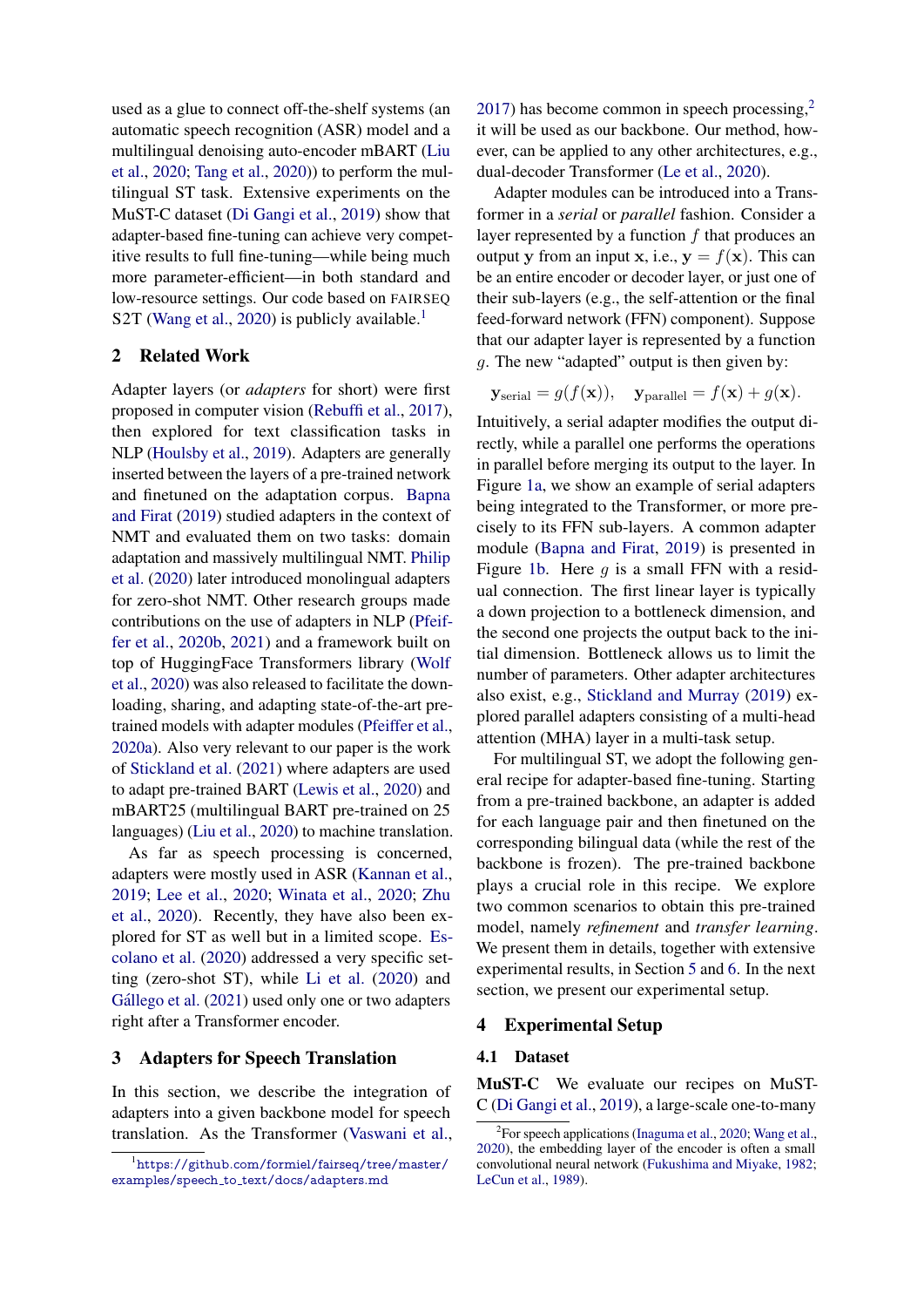used as a glue to connect off-the-shelf systems (an automatic speech recognition (ASR) model and a multilingual denoising auto-encoder mBART [\(Liu](#page-5-2) [et al.,](#page-5-2) [2020;](#page-5-2) [Tang et al.,](#page-6-0) [2020\)](#page-6-0)) to perform the multilingual ST task. Extensive experiments on the MuST-C dataset [\(Di Gangi et al.,](#page-5-3) [2019\)](#page-5-3) show that adapter-based fine-tuning can achieve very competitive results to full fine-tuning—while being much more parameter-efficient—in both standard and low-resource settings. Our code based on FAIRSEQ S2T [\(Wang et al.,](#page-6-1) [2020\)](#page-6-1) is publicly available.<sup>[1](#page-1-0)</sup>

## 2 Related Work

Adapter layers (or *adapters* for short) were first proposed in computer vision [\(Rebuffi et al.,](#page-6-2) [2017\)](#page-6-2), then explored for text classification tasks in NLP [\(Houlsby et al.,](#page-5-4) [2019\)](#page-5-4). Adapters are generally inserted between the layers of a pre-trained network and finetuned on the adaptation corpus. [Bapna](#page-5-1) [and Firat](#page-5-1) [\(2019\)](#page-5-1) studied adapters in the context of NMT and evaluated them on two tasks: domain adaptation and massively multilingual NMT. [Philip](#page-6-3) [et al.](#page-6-3) [\(2020\)](#page-6-3) later introduced monolingual adapters for zero-shot NMT. Other research groups made contributions on the use of adapters in NLP [\(Pfeif](#page-6-4)[fer et al.,](#page-6-4) [2020b,](#page-6-4) [2021\)](#page-6-5) and a framework built on top of HuggingFace Transformers library [\(Wolf](#page-6-6) [et al.,](#page-6-6) [2020\)](#page-6-6) was also released to facilitate the downloading, sharing, and adapting state-of-the-art pretrained models with adapter modules [\(Pfeiffer et al.,](#page-6-7) [2020a\)](#page-6-7). Also very relevant to our paper is the work of [Stickland et al.](#page-6-8) [\(2021\)](#page-6-8) where adapters are used to adapt pre-trained BART [\(Lewis et al.,](#page-5-5) [2020\)](#page-5-5) and mBART25 (multilingual BART pre-trained on 25 languages) [\(Liu et al.,](#page-5-2) [2020\)](#page-5-2) to machine translation.

As far as speech processing is concerned, adapters were mostly used in ASR [\(Kannan et al.,](#page-5-6) [2019;](#page-5-6) [Lee et al.,](#page-5-7) [2020;](#page-5-7) [Winata et al.,](#page-6-9) [2020;](#page-6-9) [Zhu](#page-6-10) [et al.,](#page-6-10) [2020\)](#page-6-10). Recently, they have also been explored for ST as well but in a limited scope. [Es](#page-5-8)[colano et al.](#page-5-8) [\(2020\)](#page-5-8) addressed a very specific setting (zero-shot ST), while [Li et al.](#page-5-9) [\(2020\)](#page-5-9) and Gállego et al. [\(2021\)](#page-5-10) used only one or two adapters right after a Transformer encoder.

## 3 Adapters for Speech Translation

In this section, we describe the integration of adapters into a given backbone model for speech translation. As the Transformer [\(Vaswani et al.,](#page-6-11) [2017\)](#page-6-11) has become common in speech processing,[2](#page-1-1) it will be used as our backbone. Our method, however, can be applied to any other architectures, e.g., dual-decoder Transformer [\(Le et al.,](#page-5-11) [2020\)](#page-5-11).

Adapter modules can be introduced into a Transformer in a *serial* or *parallel* fashion. Consider a layer represented by a function  $f$  that produces an output y from an input x, i.e.,  $y = f(x)$ . This can be an entire encoder or decoder layer, or just one of their sub-layers (e.g., the self-attention or the final feed-forward network (FFN) component). Suppose that our adapter layer is represented by a function g. The new "adapted" output is then given by:

$$
\mathbf{y}_{\text{serial}} = g(f(\mathbf{x})), \quad \mathbf{y}_{\text{parallel}} = f(\mathbf{x}) + g(\mathbf{x}).
$$

Intuitively, a serial adapter modifies the output directly, while a parallel one performs the operations in parallel before merging its output to the layer. In Figure [1a,](#page-0-0) we show an example of serial adapters being integrated to the Transformer, or more precisely to its FFN sub-layers. A common adapter module [\(Bapna and Firat,](#page-5-1) [2019\)](#page-5-1) is presented in Figure [1b.](#page-0-0) Here q is a small FFN with a residual connection. The first linear layer is typically a down projection to a bottleneck dimension, and the second one projects the output back to the initial dimension. Bottleneck allows us to limit the number of parameters. Other adapter architectures also exist, e.g., [Stickland and Murray](#page-6-12) [\(2019\)](#page-6-12) explored parallel adapters consisting of a multi-head attention (MHA) layer in a multi-task setup.

For multilingual ST, we adopt the following general recipe for adapter-based fine-tuning. Starting from a pre-trained backbone, an adapter is added for each language pair and then finetuned on the corresponding bilingual data (while the rest of the backbone is frozen). The pre-trained backbone plays a crucial role in this recipe. We explore two common scenarios to obtain this pre-trained model, namely *refinement* and *transfer learning*. We present them in details, together with extensive experimental results, in Section [5](#page-2-0) and [6.](#page-4-0) In the next section, we present our experimental setup.

## 4 Experimental Setup

### 4.1 Dataset

MuST-C We evaluate our recipes on MuST-C [\(Di Gangi et al.,](#page-5-3) [2019\)](#page-5-3), a large-scale one-to-many

<span id="page-1-0"></span><sup>1</sup>[https://github.com/formiel/fairseq/tree/master/](https://github.com/formiel/fairseq/tree/master/examples/speech_to_text/docs/adapters.md) examples/speech\_to\_[text/docs/adapters.md](https://github.com/formiel/fairseq/tree/master/examples/speech_to_text/docs/adapters.md)

<span id="page-1-1"></span><sup>&</sup>lt;sup>2</sup>For speech applications [\(Inaguma et al.,](#page-5-12) [2020;](#page-5-12) [Wang et al.,](#page-6-1) [2020\)](#page-6-1), the embedding layer of the encoder is often a small convolutional neural network [\(Fukushima and Miyake,](#page-5-13) [1982;](#page-5-13) [LeCun et al.,](#page-5-14) [1989\)](#page-5-14).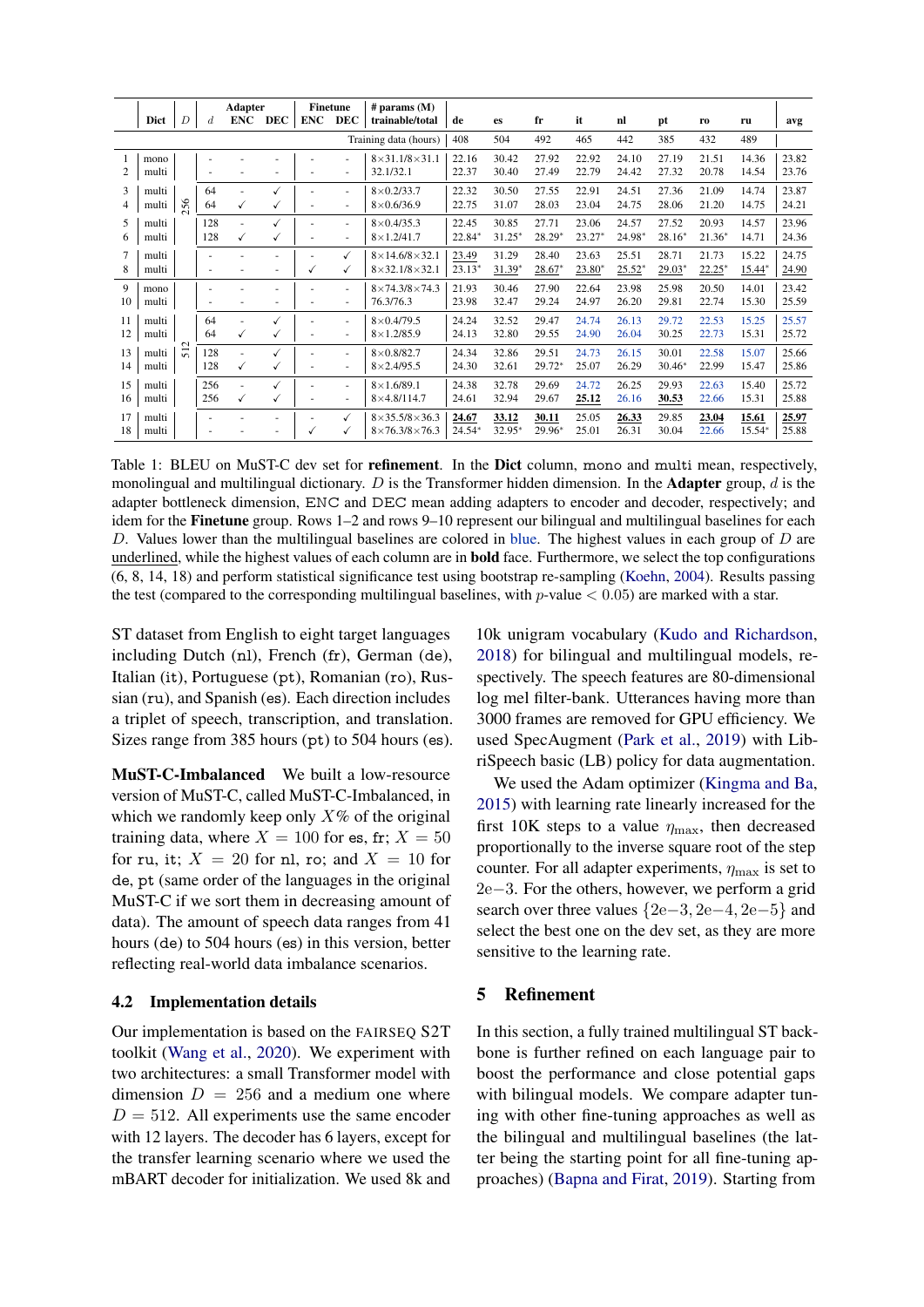<span id="page-2-1"></span>

|    |                       | <b>Adapter</b>       |                  | <b>Finetune</b>          |              | $#$ params $(M)$ |                          |                               |          |           |          |          |          |          |          |        |       |
|----|-----------------------|----------------------|------------------|--------------------------|--------------|------------------|--------------------------|-------------------------------|----------|-----------|----------|----------|----------|----------|----------|--------|-------|
|    | Dict                  | $\overline{D}$       | $\boldsymbol{d}$ | <b>ENC</b>               | <b>DEC</b>   | <b>ENC</b>       | <b>DEC</b>               | trainable/total               | de       | <b>es</b> | fr       | it       | nl       | pt       | ro       | ru     | avg   |
|    | Training data (hours) |                      |                  |                          |              |                  |                          | 408                           | 504      | 492       | 465      | 442      | 385      | 432      | 489      |        |       |
|    | mono                  |                      |                  |                          |              |                  |                          | $8\times31.1/8\times31.1$     | 22.16    | 30.42     | 27.92    | 22.92    | 24.10    | 27.19    | 21.51    | 14.36  | 23.82 |
| 2  | multi                 |                      |                  |                          |              |                  |                          | 32.1/32.1                     | 22.37    | 30.40     | 27.49    | 22.79    | 24.42    | 27.32    | 20.78    | 14.54  | 23.76 |
| 3  | multi                 |                      | 64               |                          |              |                  |                          | $8\times 0.2/33.7$            | 22.32    | 30.50     | 27.55    | 22.91    | 24.51    | 27.36    | 21.09    | 14.74  | 23.87 |
| 4  | multi                 | 256                  | 64               | √                        | $\checkmark$ |                  | $\overline{\phantom{a}}$ | $8\times 0.6/36.9$            | 22.75    | 31.07     | 28.03    | 23.04    | 24.75    | 28.06    | 21.20    | 14.75  | 24.21 |
| 5  | multi                 |                      | 128              | $\sim$                   |              |                  | ٠                        | $8\times 0.4/35.3$            | 22.45    | 30.85     | 27.71    | 23.06    | 24.57    | 27.52    | 20.93    | 14.57  | 23.96 |
| 6  | multi                 |                      | 128              | √                        |              |                  | ٠                        | $8 \times 1.2/41.7$           | 22.84*   | $31.25*$  | 28.29*   | $23.27*$ | 24.98*   | $28.16*$ | $21.36*$ | 14.71  | 24.36 |
| 7  | multi                 |                      |                  |                          |              |                  |                          | $8 \times 14.6/8 \times 32.1$ | 23.49    | 31.29     | 28.40    | 23.63    | 25.51    | 28.71    | 21.73    | 15.22  | 24.75 |
| 8  | multi                 |                      | ٠                |                          |              | √                | ✓                        | $8 \times 32.1/8 \times 32.1$ | $23.13*$ | $31.39*$  | 28.67*   | $23.80*$ | $25.52*$ | 29.03*   | $22.25*$ | 15.44* | 24.90 |
| 9  | mono                  |                      |                  |                          |              |                  |                          | $8 \times 74.3/8 \times 74.3$ | 21.93    | 30.46     | 27.90    | 22.64    | 23.98    | 25.98    | 20.50    | 14.01  | 23.42 |
| 10 | multi                 |                      | ٠                |                          |              |                  | ٠                        | 76.3/76.3                     | 23.98    | 32.47     | 29.24    | 24.97    | 26.20    | 29.81    | 22.74    | 15.30  | 25.59 |
| 11 | multi                 |                      | 64               |                          |              |                  | ٠                        | $8 \times 0.479.5$            | 24.24    | 32.52     | 29.47    | 24.74    | 26.13    | 29.72    | 22.53    | 15.25  | 25.57 |
| 12 | multi                 |                      | 64               | √                        | √            |                  | ٠                        | $8 \times 1.2/85.9$           | 24.13    | 32.80     | 29.55    | 24.90    | 26.04    | 30.25    | 22.73    | 15.31  | 25.72 |
| 13 | multi                 | $\mathbf{\sim}$<br>遣 | 128              | $\overline{\phantom{a}}$ |              |                  |                          | $8\times 0.8/82.7$            | 24.34    | 32.86     | 29.51    | 24.73    | 26.15    | 30.01    | 22.58    | 15.07  | 25.66 |
| 14 | multi                 |                      | 128              | √                        | √            |                  | $\overline{\phantom{a}}$ | $8 \times 2.4/95.5$           | 24.30    | 32.61     | 29.72*   | 25.07    | 26.29    | $30.46*$ | 22.99    | 15.47  | 25.86 |
| 15 | multi                 |                      | 256              |                          |              |                  | ٠                        | $8 \times 1.6/89.1$           | 24.38    | 32.78     | 29.69    | 24.72    | 26.25    | 29.93    | 22.63    | 15.40  | 25.72 |
| 16 | multi                 |                      | 256              | ✓                        | $\checkmark$ |                  | ٠                        | $8\times4.8/114.7$            | 24.61    | 32.94     | 29.67    | 25.12    | 26.16    | 30.53    | 22.66    | 15.31  | 25.88 |
| 17 | multi                 |                      |                  |                          |              |                  | ✓                        | $8\times35.5/8\times36.3$     | 24.67    | 33.12     | 30.11    | 25.05    | 26.33    | 29.85    | 23.04    | 15.61  | 25.97 |
| 18 | multi                 |                      |                  |                          |              | √                |                          | $8\times76.3/8\times76.3$     | $24.54*$ | 32.95*    | $29.96*$ | 25.01    | 26.31    | 30.04    | 22.66    | 15.54* | 25.88 |

Table 1: BLEU on MuST-C dev set for **refinement**. In the Dict column, mono and multi mean, respectively, monolingual and multilingual dictionary. D is the Transformer hidden dimension. In the **Adapter** group, d is the adapter bottleneck dimension, ENC and DEC mean adding adapters to encoder and decoder, respectively; and idem for the **Finetune** group. Rows 1–2 and rows 9–10 represent our bilingual and multilingual baselines for each D. Values lower than the multilingual baselines are colored in blue. The highest values in each group of  $D$  are underlined, while the highest values of each column are in **bold** face. Furthermore, we select the top configurations (6, 8, 14, 18) and perform statistical significance test using bootstrap re-sampling (Koehn, 2004). Results passing the test (compared to the corresponding multilingual baselines, with  $p$ -value  $< 0.05$ ) are marked with a star.

ST dataset from English to eight target languages including Dutch (nl), French (fr), German (de), Italian (it), Portuguese (pt), Romanian (ro), Russian (ru), and Spanish (es). Each direction includes a triplet of speech, transcription, and translation. Sizes range from 385 hours (pt) to 504 hours (es).

**MuST-C-Imbalanced** We built a low-resource version of MuST-C, called MuST-C-Imbalanced, in which we randomly keep only  $X\%$  of the original training data, where  $X = 100$  for es, fr;  $X = 50$ for ru, it;  $X = 20$  for nl, ro; and  $X = 10$  for de, pt (same order of the languages in the original MuST-C if we sort them in decreasing amount of data). The amount of speech data ranges from 41 hours (de) to 504 hours (es) in this version, better reflecting real-world data imbalance scenarios.

## 4.2 Implementation details

Our implementation is based on the FAIRSEO S2T toolkit (Wang et al., 2020). We experiment with two architectures: a small Transformer model with dimension  $D = 256$  and a medium one where  $D = 512$ . All experiments use the same encoder with 12 layers. The decoder has 6 layers, except for the transfer learning scenario where we used the mBART decoder for initialization. We used 8k and

10k unigram vocabulary (Kudo and Richardson, 2018) for bilingual and multilingual models, respectively. The speech features are 80-dimensional log mel filter-bank. Utterances having more than 3000 frames are removed for GPU efficiency. We used SpecAugment (Park et al., 2019) with LibriSpeech basic (LB) policy for data augmentation.

We used the Adam optimizer (Kingma and Ba, 2015) with learning rate linearly increased for the first 10K steps to a value  $\eta_{\text{max}}$ , then decreased proportionally to the inverse square root of the step counter. For all adapter experiments,  $\eta_{\text{max}}$  is set to  $2e-3$ . For the others, however, we perform a grid search over three values  ${2e-3, 2e-4, 2e-5}$  and select the best one on the dev set, as they are more sensitive to the learning rate.

#### <span id="page-2-0"></span>5 **Refinement**

In this section, a fully trained multilingual ST backbone is further refined on each language pair to boost the performance and close potential gaps with bilingual models. We compare adapter tuning with other fine-tuning approaches as well as the bilingual and multilingual baselines (the latter being the starting point for all fine-tuning approaches) (Bapna and Firat, 2019). Starting from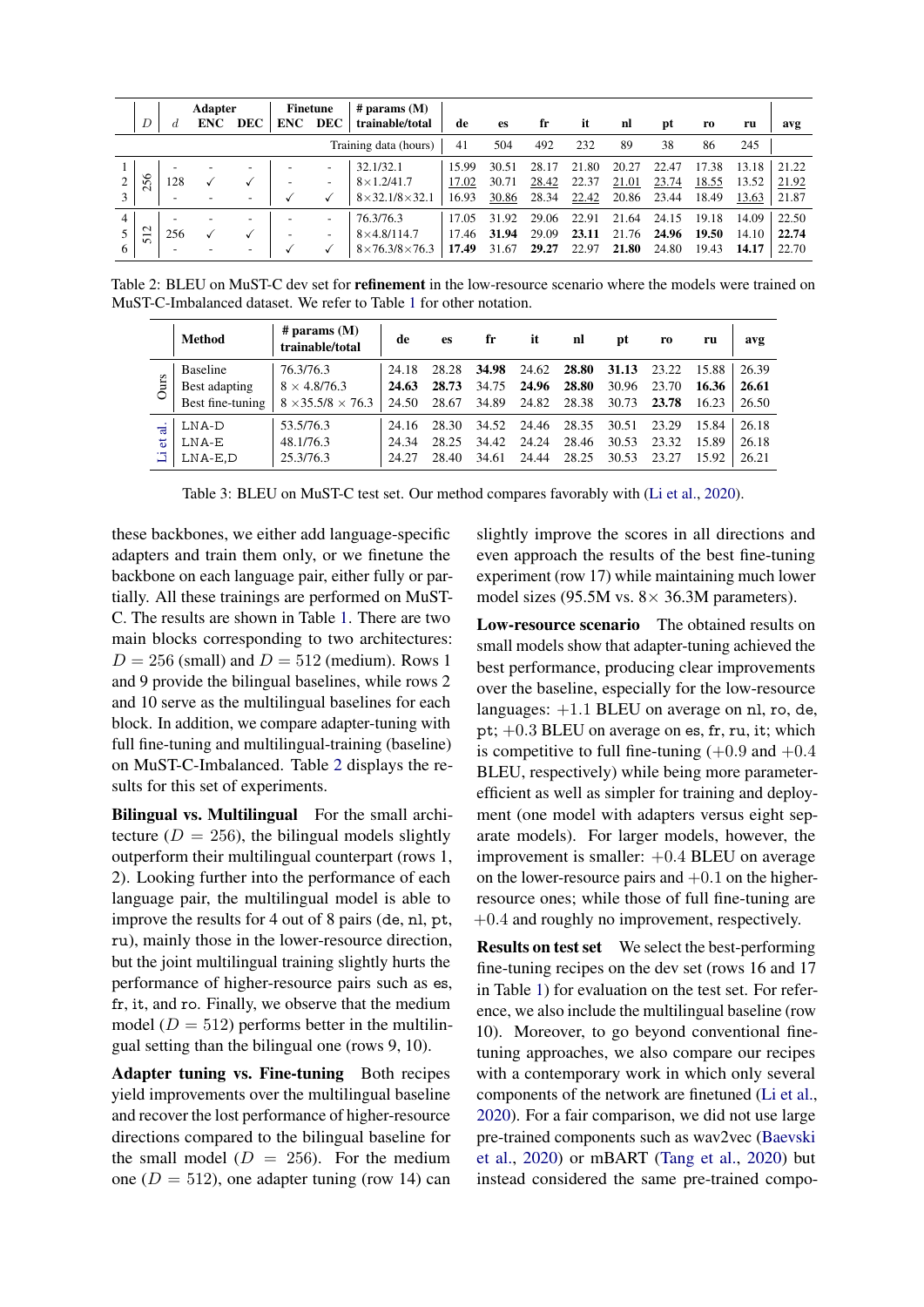<span id="page-3-0"></span>

|                       | <b>Adapter</b><br>D<br><b>DEC</b><br><b>ENC</b><br>d |                          | $#$ params $(M)$<br><b>Finetune</b><br>trainable/total<br><b>DEC</b><br><b>ENC</b> |                          |  | de                       | es                            | fr    | it    | nl    | pt    | r0    | ru    | avg   |       |       |
|-----------------------|------------------------------------------------------|--------------------------|------------------------------------------------------------------------------------|--------------------------|--|--------------------------|-------------------------------|-------|-------|-------|-------|-------|-------|-------|-------|-------|
| Training data (hours) |                                                      |                          |                                                                                    |                          |  |                          |                               | 41    | 504   | 492   | 232   | 89    | 38    | 86    | 245   |       |
|                       |                                                      |                          |                                                                                    | $\overline{\phantom{a}}$ |  | $\overline{\phantom{a}}$ | 32.1/32.1                     | 15.99 | 30.51 | 28.17 | 21.80 | 20.27 | 22.47 | 17.38 | 13.18 | 21.22 |
|                       | 256                                                  | 128                      |                                                                                    |                          |  | $\overline{\phantom{a}}$ | $8\times1.2/41.7$             | 17.02 | 30.71 | 28.42 | 22.37 | 21.01 | 23.74 | 18.55 | 13.52 | 21.92 |
|                       |                                                      | $\overline{\phantom{a}}$ | $\overline{\phantom{a}}$                                                           | $\overline{\phantom{a}}$ |  |                          | $8 \times 32.1/8 \times 32.1$ | 16.93 | 30.86 | 28.34 | 22.42 | 20.86 | 23.44 | 18.49 | 13.63 | 21.87 |
| 4                     |                                                      |                          |                                                                                    | $\overline{\phantom{a}}$ |  | $\overline{\phantom{a}}$ | 76.3/76.3                     | 17.05 | 31.92 | 29.06 | 22.91 | 21.64 | 24.15 | 19.18 | 14.09 | 22.50 |
|                       | $\mathbf{\sim}$<br>$\overline{\phantom{0}}$<br>n     | 256                      |                                                                                    |                          |  | $\overline{\phantom{a}}$ | $8\times4.8/114.7$            | 17.46 | 31.94 | 29.09 | 23.11 | 21.76 | 24.96 | 19.50 | 14.10 | 22.74 |
| 6                     |                                                      | -                        |                                                                                    | $\overline{\phantom{a}}$ |  |                          | $8\times76.3/8\times76.3$     | 17.49 | 31.67 | 29.27 | 22.97 | 21.80 | 24.80 | 19.43 | 14.17 | 22.70 |

<span id="page-3-1"></span>Table 2: BLEU on MuST-C dev set for **refinement** in the low-resource scenario where the models were trained on MuST-C-Imbalanced dataset. We refer to Table [1](#page-2-1) for other notation.

|             | <b>Method</b>    | # params $(M)$<br>trainable/total | de    | es    | fr    | it    | nl    | pt    | r0    | ru    | avg   |
|-------------|------------------|-----------------------------------|-------|-------|-------|-------|-------|-------|-------|-------|-------|
| <b>Ours</b> | <b>Baseline</b>  | 76.3/76.3                         | 24.18 | 28.28 | 34.98 | 24.62 | 28.80 | 31.13 | 23.22 | 15.88 | 26.39 |
|             | Best adapting    | $8 \times 4.8/76.3$               | 24.63 | 28.73 | 34.75 | 24.96 | 28.80 | 30.96 | 23.70 | 16.36 | 26.61 |
|             | Best fine-tuning | $8 \times 35.5/8 \times 76.3$     | 24.50 | 28.67 | 34.89 | 24.82 | 28.38 | 30.73 | 23.78 | 16.23 | 26.50 |
| ಕ<br>ਾੜ     | LNA-D            | 53.5/76.3                         | 24.16 | 28.30 | 34.52 | 24.46 | 28.35 | 30.51 | 23.29 | 15.84 | 26.18 |
|             | LNA-E            | 48.1/76.3                         | 24.34 | 28.25 | 34.42 | 24.24 | 28.46 | 30.53 | 23.32 | 15.89 | 26.18 |
|             | $LNA$ -E.D       | 25.3/76.3                         | 24.27 | 28.40 | 34.61 | 24.44 | 28.25 | 30.53 | 23.27 | 15.92 | 26.21 |

Table 3: BLEU on MuST-C test set. Our method compares favorably with [\(Li et al.,](#page-5-9) [2020\)](#page-5-9).

these backbones, we either add language-specific adapters and train them only, or we finetune the backbone on each language pair, either fully or partially. All these trainings are performed on MuST-C. The results are shown in Table [1.](#page-2-1) There are two main blocks corresponding to two architectures:  $D = 256$  (small) and  $D = 512$  (medium). Rows 1 and 9 provide the bilingual baselines, while rows 2 and 10 serve as the multilingual baselines for each block. In addition, we compare adapter-tuning with full fine-tuning and multilingual-training (baseline) on MuST-C-Imbalanced. Table [2](#page-3-0) displays the results for this set of experiments.

Bilingual vs. Multilingual For the small architecture ( $D = 256$ ), the bilingual models slightly outperform their multilingual counterpart (rows 1, 2). Looking further into the performance of each language pair, the multilingual model is able to improve the results for 4 out of 8 pairs (de, nl, pt, ru), mainly those in the lower-resource direction, but the joint multilingual training slightly hurts the performance of higher-resource pairs such as es, fr, it, and ro. Finally, we observe that the medium model ( $D = 512$ ) performs better in the multilingual setting than the bilingual one (rows 9, 10).

Adapter tuning vs. Fine-tuning Both recipes yield improvements over the multilingual baseline and recover the lost performance of higher-resource directions compared to the bilingual baseline for the small model  $(D = 256)$ . For the medium one ( $D = 512$ ), one adapter tuning (row 14) can slightly improve the scores in all directions and even approach the results of the best fine-tuning experiment (row 17) while maintaining much lower model sizes (95.5M vs.  $8 \times 36.3$ M parameters).

Low-resource scenario The obtained results on small models show that adapter-tuning achieved the best performance, producing clear improvements over the baseline, especially for the low-resource languages: +1.1 BLEU on average on nl, ro, de, pt; +0.3 BLEU on average on es, fr, ru, it; which is competitive to full fine-tuning  $(+0.9 \text{ and } +0.4)$ BLEU, respectively) while being more parameterefficient as well as simpler for training and deployment (one model with adapters versus eight separate models). For larger models, however, the improvement is smaller:  $+0.4$  BLEU on average on the lower-resource pairs and  $+0.1$  on the higherresource ones; while those of full fine-tuning are +0.4 and roughly no improvement, respectively.

Results on test set We select the best-performing fine-tuning recipes on the dev set (rows 16 and 17 in Table [1\)](#page-2-1) for evaluation on the test set. For reference, we also include the multilingual baseline (row 10). Moreover, to go beyond conventional finetuning approaches, we also compare our recipes with a contemporary work in which only several components of the network are finetuned [\(Li et al.,](#page-5-9) [2020\)](#page-5-9). For a fair comparison, we did not use large pre-trained components such as wav2vec [\(Baevski](#page-5-18) [et al.,](#page-5-18) [2020\)](#page-5-18) or mBART [\(Tang et al.,](#page-6-0) [2020\)](#page-6-0) but instead considered the same pre-trained compo-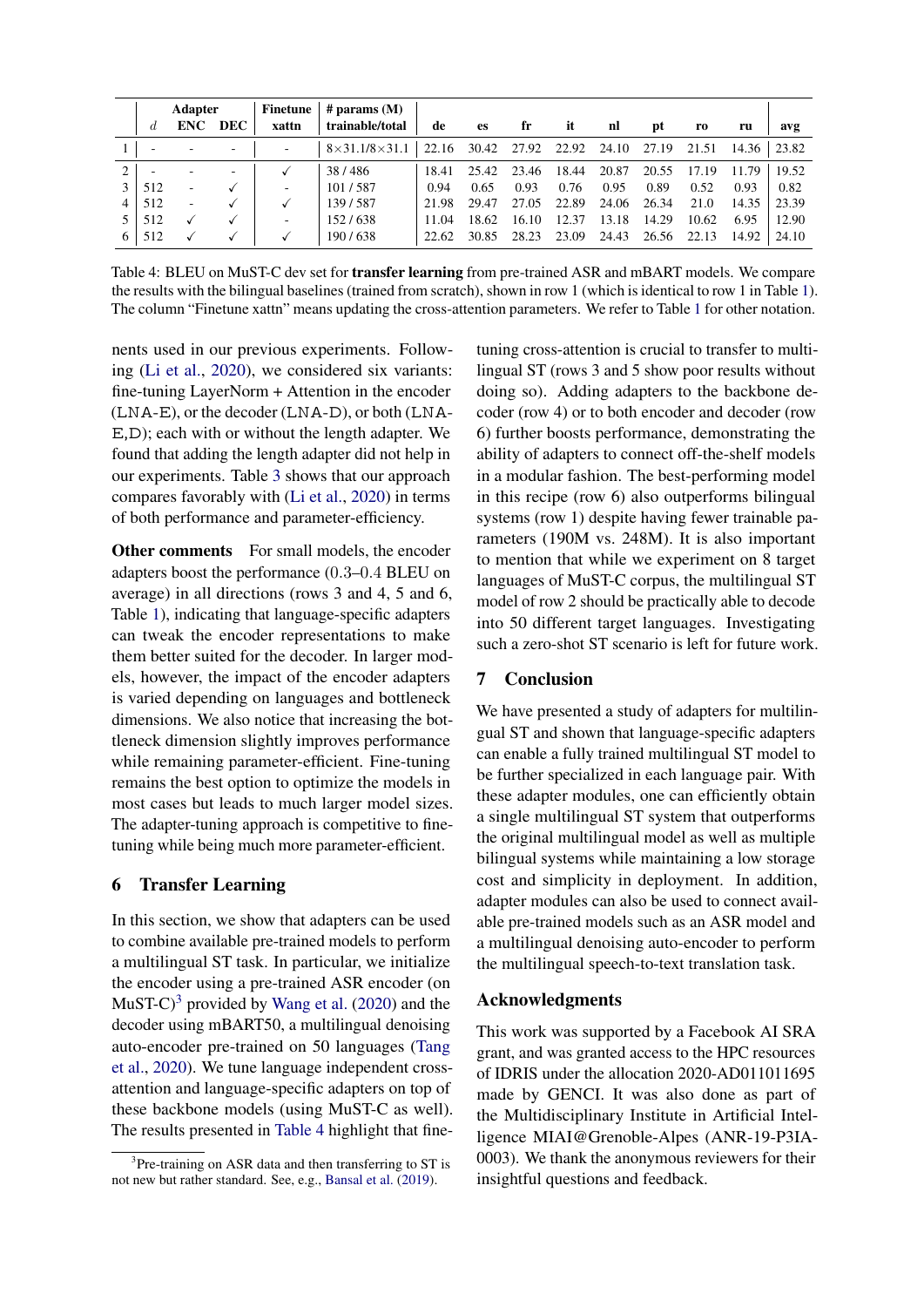<span id="page-4-2"></span>

|   | <b>Adapter</b> |                          |            | <b>Finetune</b> | # params $(M)$            |       |       |       |       |       |       |                |       |       |
|---|----------------|--------------------------|------------|-----------------|---------------------------|-------|-------|-------|-------|-------|-------|----------------|-------|-------|
|   | đ.             | <b>ENC</b>               | <b>DEC</b> | xattn           | trainable/total           | de    | es    | fr    | it    | nl    | pt    | r <sub>0</sub> | ru    | avg   |
|   |                |                          |            | ۰               | $8\times31.1/8\times31.1$ | 22.16 | 30.42 | 27.92 | 22.92 | 24.10 | 27.19 | 21.51          | 14.36 | 23.82 |
|   |                | $\overline{\phantom{a}}$ |            |                 | 38/486                    | 18.41 | 25.42 | 23.46 | 18.44 | 20.87 | 20.55 | 17.19          | 11.79 | 19.52 |
|   | 512            | ٠                        |            | ٠               | 101/587                   | 0.94  | 0.65  | 0.93  | 0.76  | 0.95  | 0.89  | 0.52           | 0.93  | 0.82  |
| 4 | 512            | ٠                        |            |                 | 139/587                   | 21.98 | 29.47 | 27.05 | 22.89 | 24.06 | 26.34 | 21.0           | 14.35 | 23.39 |
|   | 512            |                          |            | ۰               | 152/638                   | 11.04 | 18.62 | 16.10 | 12.37 | 13.18 | 14.29 | 10.62          | 6.95  | 12.90 |
| 6 | 512            |                          |            |                 | 190/638                   | 22.62 | 30.85 | 28.23 | 23.09 | 24.43 | 26.56 | 22.13          | 14.92 | 24.10 |

Table 4: BLEU on MuST-C dev set for **transfer learning** from pre-trained ASR and mBART models. We compare the results with the bilingual baselines (trained from scratch), shown in row 1 (which is identical to row 1 in Table [1\)](#page-2-1). The column "Finetune xattn" means updating the cross-attention parameters. We refer to Table [1](#page-2-1) for other notation.

nents used in our previous experiments. Following [\(Li et al.,](#page-5-9) [2020\)](#page-5-9), we considered six variants: fine-tuning LayerNorm + Attention in the encoder (LNA-E), or the decoder (LNA-D), or both (LNA-E,D); each with or without the length adapter. We found that adding the length adapter did not help in our experiments. Table [3](#page-3-1) shows that our approach compares favorably with [\(Li et al.,](#page-5-9) [2020\)](#page-5-9) in terms of both performance and parameter-efficiency.

Other comments For small models, the encoder adapters boost the performance (0.3–0.4 BLEU on average) in all directions (rows 3 and 4, 5 and 6, Table [1\)](#page-2-1), indicating that language-specific adapters can tweak the encoder representations to make them better suited for the decoder. In larger models, however, the impact of the encoder adapters is varied depending on languages and bottleneck dimensions. We also notice that increasing the bottleneck dimension slightly improves performance while remaining parameter-efficient. Fine-tuning remains the best option to optimize the models in most cases but leads to much larger model sizes. The adapter-tuning approach is competitive to finetuning while being much more parameter-efficient.

# <span id="page-4-0"></span>6 Transfer Learning

In this section, we show that adapters can be used to combine available pre-trained models to perform a multilingual ST task. In particular, we initialize the encoder using a pre-trained ASR encoder (on MuST-C $^{3}$  $^{3}$  $^{3}$  provided by [Wang et al.](#page-6-1) [\(2020\)](#page-6-1) and the decoder using mBART50, a multilingual denoising auto-encoder pre-trained on 50 languages [\(Tang](#page-6-0) [et al.,](#page-6-0) [2020\)](#page-6-0). We tune language independent crossattention and language-specific adapters on top of these backbone models (using MuST-C as well). The results presented in [Table 4](#page-4-2) highlight that finetuning cross-attention is crucial to transfer to multilingual ST (rows 3 and 5 show poor results without doing so). Adding adapters to the backbone decoder (row 4) or to both encoder and decoder (row 6) further boosts performance, demonstrating the ability of adapters to connect off-the-shelf models in a modular fashion. The best-performing model in this recipe (row 6) also outperforms bilingual systems (row 1) despite having fewer trainable parameters (190M vs. 248M). It is also important to mention that while we experiment on 8 target languages of MuST-C corpus, the multilingual ST model of row 2 should be practically able to decode into 50 different target languages. Investigating such a zero-shot ST scenario is left for future work.

# 7 Conclusion

We have presented a study of adapters for multilingual ST and shown that language-specific adapters can enable a fully trained multilingual ST model to be further specialized in each language pair. With these adapter modules, one can efficiently obtain a single multilingual ST system that outperforms the original multilingual model as well as multiple bilingual systems while maintaining a low storage cost and simplicity in deployment. In addition, adapter modules can also be used to connect available pre-trained models such as an ASR model and a multilingual denoising auto-encoder to perform the multilingual speech-to-text translation task.

# Acknowledgments

This work was supported by a Facebook AI SRA grant, and was granted access to the HPC resources of IDRIS under the allocation 2020-AD011011695 made by GENCI. It was also done as part of the Multidisciplinary Institute in Artificial Intelligence MIAI@Grenoble-Alpes (ANR-19-P3IA-0003). We thank the anonymous reviewers for their insightful questions and feedback.

<span id="page-4-1"></span><sup>&</sup>lt;sup>3</sup>Pre-training on ASR data and then transferring to ST is not new but rather standard. See, e.g., [Bansal et al.](#page-5-19) [\(2019\)](#page-5-19).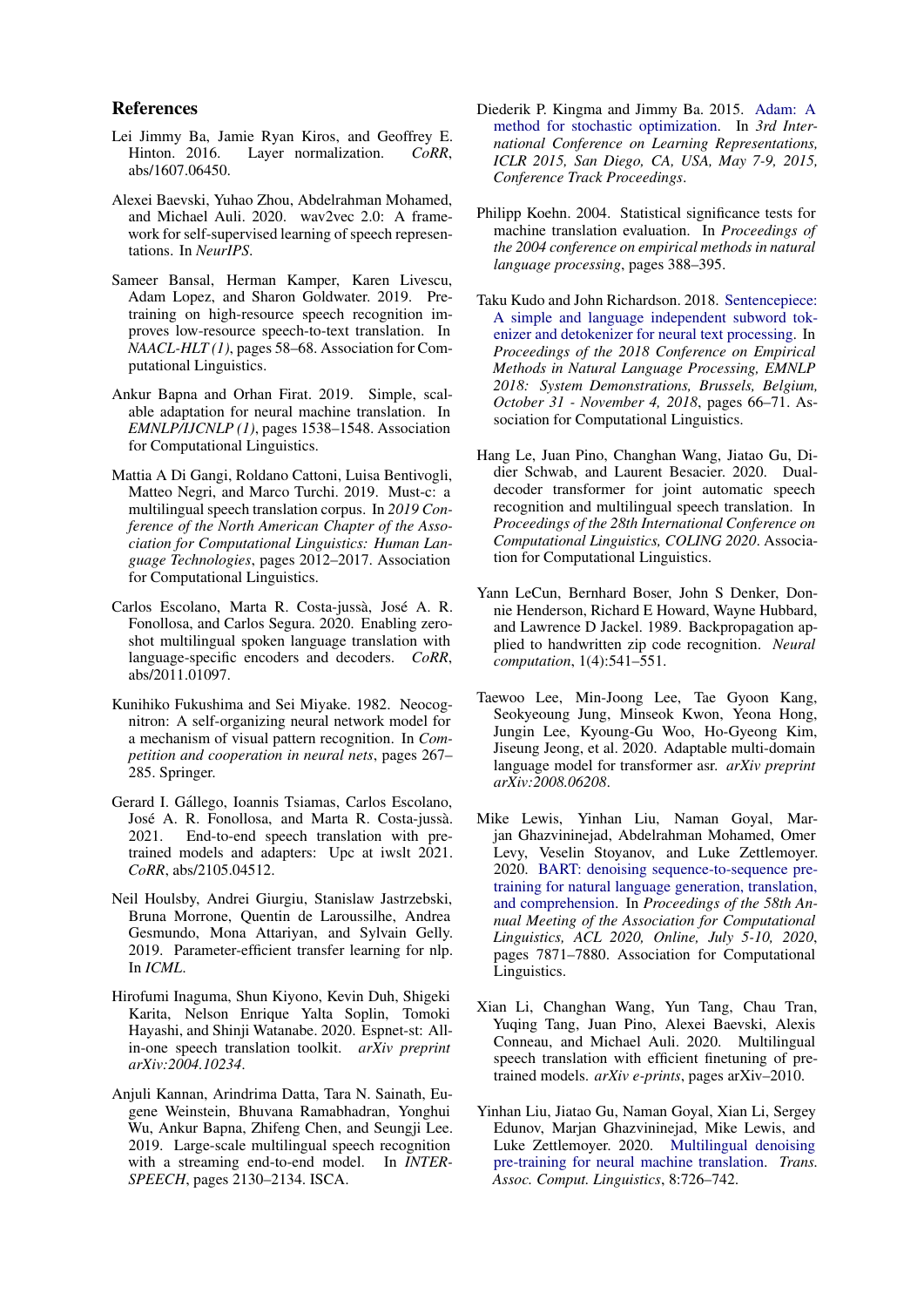### References

- <span id="page-5-0"></span>Lei Jimmy Ba, Jamie Ryan Kiros, and Geoffrey E.<br>Hinton. 2016. Layer normalization. CoRR, Layer normalization. *CoRR*, abs/1607.06450.
- <span id="page-5-18"></span>Alexei Baevski, Yuhao Zhou, Abdelrahman Mohamed, and Michael Auli. 2020. wav2vec 2.0: A framework for self-supervised learning of speech representations. In *NeurIPS*.
- <span id="page-5-19"></span>Sameer Bansal, Herman Kamper, Karen Livescu, Adam Lopez, and Sharon Goldwater. 2019. Pretraining on high-resource speech recognition improves low-resource speech-to-text translation. In *NAACL-HLT (1)*, pages 58–68. Association for Computational Linguistics.
- <span id="page-5-1"></span>Ankur Bapna and Orhan Firat. 2019. Simple, scalable adaptation for neural machine translation. In *EMNLP/IJCNLP (1)*, pages 1538–1548. Association for Computational Linguistics.
- <span id="page-5-3"></span>Mattia A Di Gangi, Roldano Cattoni, Luisa Bentivogli, Matteo Negri, and Marco Turchi. 2019. Must-c: a multilingual speech translation corpus. In *2019 Conference of the North American Chapter of the Association for Computational Linguistics: Human Language Technologies*, pages 2012–2017. Association for Computational Linguistics.
- <span id="page-5-8"></span>Carlos Escolano, Marta R. Costa-jussà, José A. R. Fonollosa, and Carlos Segura. 2020. Enabling zeroshot multilingual spoken language translation with language-specific encoders and decoders. *CoRR*, abs/2011.01097.
- <span id="page-5-13"></span>Kunihiko Fukushima and Sei Miyake. 1982. Neocognitron: A self-organizing neural network model for a mechanism of visual pattern recognition. In *Competition and cooperation in neural nets*, pages 267– 285. Springer.
- <span id="page-5-10"></span>Gerard I. Gállego, Ioannis Tsiamas, Carlos Escolano, José A. R. Fonollosa, and Marta R. Costa-jussà. 2021. End-to-end speech translation with pretrained models and adapters: Upc at iwslt 2021. *CoRR*, abs/2105.04512.
- <span id="page-5-4"></span>Neil Houlsby, Andrei Giurgiu, Stanislaw Jastrzebski, Bruna Morrone, Quentin de Laroussilhe, Andrea Gesmundo, Mona Attariyan, and Sylvain Gelly. 2019. Parameter-efficient transfer learning for nlp. In *ICML*.
- <span id="page-5-12"></span>Hirofumi Inaguma, Shun Kiyono, Kevin Duh, Shigeki Karita, Nelson Enrique Yalta Soplin, Tomoki Hayashi, and Shinji Watanabe. 2020. Espnet-st: Allin-one speech translation toolkit. *arXiv preprint arXiv:2004.10234*.
- <span id="page-5-6"></span>Anjuli Kannan, Arindrima Datta, Tara N. Sainath, Eugene Weinstein, Bhuvana Ramabhadran, Yonghui Wu, Ankur Bapna, Zhifeng Chen, and Seungji Lee. 2019. Large-scale multilingual speech recognition with a streaming end-to-end model. In *INTER-SPEECH*, pages 2130–2134. ISCA.
- <span id="page-5-17"></span>Diederik P. Kingma and Jimmy Ba. 2015. [Adam: A](http://arxiv.org/abs/1412.6980) [method for stochastic optimization.](http://arxiv.org/abs/1412.6980) In *3rd International Conference on Learning Representations, ICLR 2015, San Diego, CA, USA, May 7-9, 2015, Conference Track Proceedings*.
- <span id="page-5-15"></span>Philipp Koehn. 2004. Statistical significance tests for machine translation evaluation. In *Proceedings of the 2004 conference on empirical methods in natural language processing*, pages 388–395.
- <span id="page-5-16"></span>Taku Kudo and John Richardson. 2018. [Sentencepiece:](https://doi.org/10.18653/v1/d18-2012) [A simple and language independent subword tok](https://doi.org/10.18653/v1/d18-2012)[enizer and detokenizer for neural text processing.](https://doi.org/10.18653/v1/d18-2012) In *Proceedings of the 2018 Conference on Empirical Methods in Natural Language Processing, EMNLP 2018: System Demonstrations, Brussels, Belgium, October 31 - November 4, 2018*, pages 66–71. Association for Computational Linguistics.
- <span id="page-5-11"></span>Hang Le, Juan Pino, Changhan Wang, Jiatao Gu, Didier Schwab, and Laurent Besacier. 2020. Dualdecoder transformer for joint automatic speech recognition and multilingual speech translation. In *Proceedings of the 28th International Conference on Computational Linguistics, COLING 2020*. Association for Computational Linguistics.
- <span id="page-5-14"></span>Yann LeCun, Bernhard Boser, John S Denker, Donnie Henderson, Richard E Howard, Wayne Hubbard, and Lawrence D Jackel. 1989. Backpropagation applied to handwritten zip code recognition. *Neural computation*, 1(4):541–551.
- <span id="page-5-7"></span>Taewoo Lee, Min-Joong Lee, Tae Gyoon Kang, Seokyeoung Jung, Minseok Kwon, Yeona Hong, Jungin Lee, Kyoung-Gu Woo, Ho-Gyeong Kim, Jiseung Jeong, et al. 2020. Adaptable multi-domain language model for transformer asr. *arXiv preprint arXiv:2008.06208*.
- <span id="page-5-5"></span>Mike Lewis, Yinhan Liu, Naman Goyal, Marjan Ghazvininejad, Abdelrahman Mohamed, Omer Levy, Veselin Stoyanov, and Luke Zettlemoyer. 2020. [BART: denoising sequence-to-sequence pre](https://doi.org/10.18653/v1/2020.acl-main.703)[training for natural language generation, translation,](https://doi.org/10.18653/v1/2020.acl-main.703) [and comprehension.](https://doi.org/10.18653/v1/2020.acl-main.703) In *Proceedings of the 58th Annual Meeting of the Association for Computational Linguistics, ACL 2020, Online, July 5-10, 2020*, pages 7871–7880. Association for Computational Linguistics.
- <span id="page-5-9"></span>Xian Li, Changhan Wang, Yun Tang, Chau Tran, Yuqing Tang, Juan Pino, Alexei Baevski, Alexis Conneau, and Michael Auli. 2020. Multilingual speech translation with efficient finetuning of pretrained models. *arXiv e-prints*, pages arXiv–2010.
- <span id="page-5-2"></span>Yinhan Liu, Jiatao Gu, Naman Goyal, Xian Li, Sergey Edunov, Marjan Ghazvininejad, Mike Lewis, and Luke Zettlemoyer. 2020. [Multilingual denoising](https://transacl.org/ojs/index.php/tacl/article/view/2107) [pre-training for neural machine translation.](https://transacl.org/ojs/index.php/tacl/article/view/2107) *Trans. Assoc. Comput. Linguistics*, 8:726–742.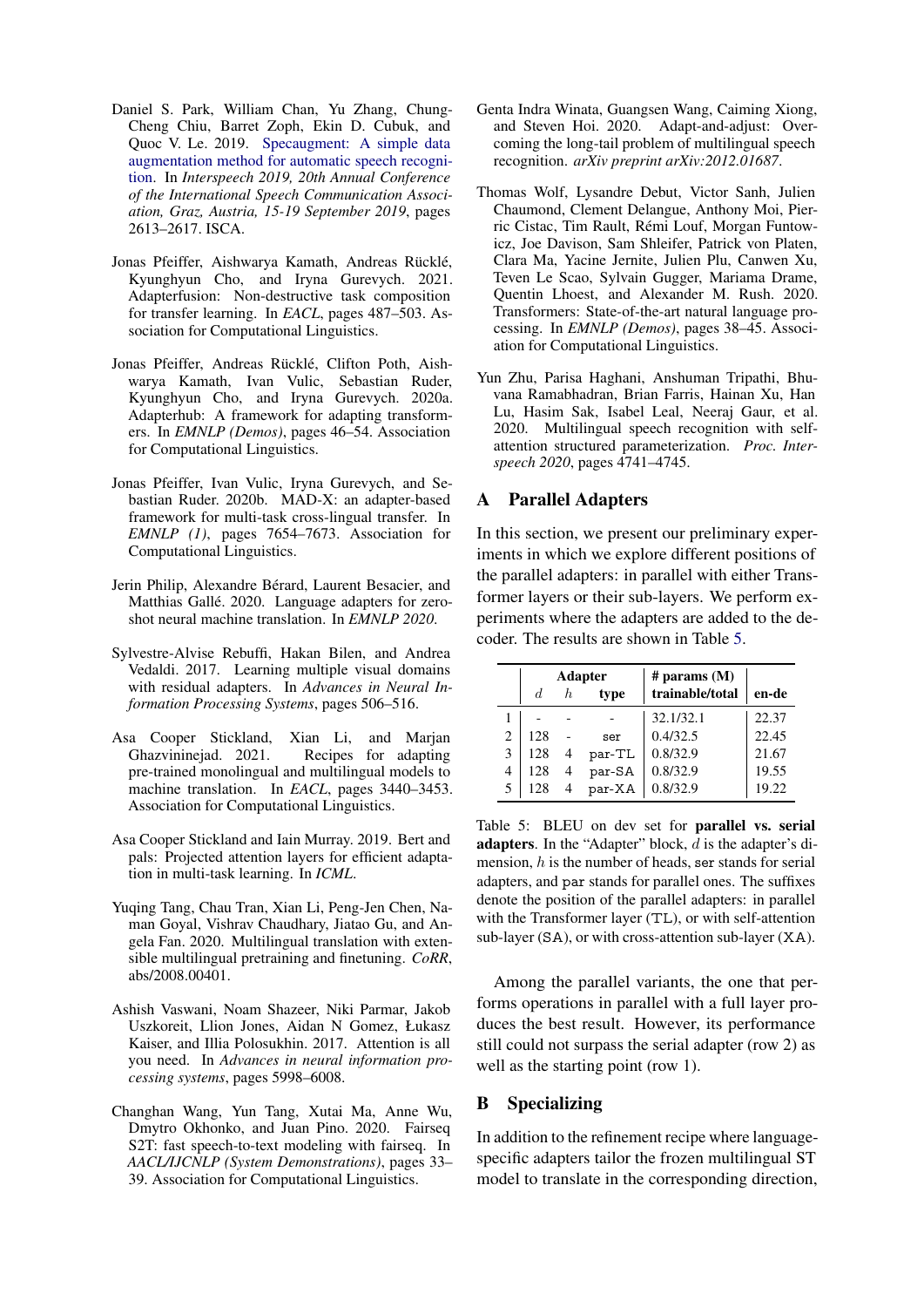- <span id="page-6-13"></span>Daniel S. Park, William Chan, Yu Zhang, Chung-Cheng Chiu, Barret Zoph, Ekin D. Cubuk, and Quoc V. Le. 2019. [Specaugment: A simple data](https://doi.org/10.21437/Interspeech.2019-2680) [augmentation method for automatic speech recogni](https://doi.org/10.21437/Interspeech.2019-2680)[tion.](https://doi.org/10.21437/Interspeech.2019-2680) In *Interspeech 2019, 20th Annual Conference of the International Speech Communication Association, Graz, Austria, 15-19 September 2019*, pages 2613–2617. ISCA.
- <span id="page-6-5"></span>Jonas Pfeiffer, Aishwarya Kamath, Andreas Rücklé, Kyunghyun Cho, and Iryna Gurevych. 2021. Adapterfusion: Non-destructive task composition for transfer learning. In *EACL*, pages 487–503. Association for Computational Linguistics.
- <span id="page-6-7"></span>Jonas Pfeiffer, Andreas Rücklé, Clifton Poth, Aishwarya Kamath, Ivan Vulic, Sebastian Ruder, Kyunghyun Cho, and Iryna Gurevych. 2020a. Adapterhub: A framework for adapting transformers. In *EMNLP (Demos)*, pages 46–54. Association for Computational Linguistics.
- <span id="page-6-4"></span>Jonas Pfeiffer, Ivan Vulic, Iryna Gurevych, and Sebastian Ruder. 2020b. MAD-X: an adapter-based framework for multi-task cross-lingual transfer. In *EMNLP (1)*, pages 7654–7673. Association for Computational Linguistics.
- <span id="page-6-3"></span>Jerin Philip, Alexandre Berard, Laurent Besacier, and ´ Matthias Gallé. 2020. Language adapters for zeroshot neural machine translation. In *EMNLP 2020*.
- <span id="page-6-2"></span>Sylvestre-Alvise Rebuffi, Hakan Bilen, and Andrea Vedaldi. 2017. Learning multiple visual domains with residual adapters. In *Advances in Neural Information Processing Systems*, pages 506–516.
- <span id="page-6-8"></span>Asa Cooper Stickland, Xian Li, and Marjan Ghazvininejad. 2021. Recipes for adapting pre-trained monolingual and multilingual models to machine translation. In *EACL*, pages 3440–3453. Association for Computational Linguistics.
- <span id="page-6-12"></span>Asa Cooper Stickland and Iain Murray. 2019. Bert and pals: Projected attention layers for efficient adaptation in multi-task learning. In *ICML*.
- <span id="page-6-0"></span>Yuqing Tang, Chau Tran, Xian Li, Peng-Jen Chen, Naman Goyal, Vishrav Chaudhary, Jiatao Gu, and Angela Fan. 2020. Multilingual translation with extensible multilingual pretraining and finetuning. *CoRR*, abs/2008.00401.
- <span id="page-6-11"></span>Ashish Vaswani, Noam Shazeer, Niki Parmar, Jakob Uszkoreit, Llion Jones, Aidan N Gomez, Łukasz Kaiser, and Illia Polosukhin. 2017. Attention is all you need. In *Advances in neural information processing systems*, pages 5998–6008.
- <span id="page-6-1"></span>Changhan Wang, Yun Tang, Xutai Ma, Anne Wu, Dmytro Okhonko, and Juan Pino. 2020. Fairseq S2T: fast speech-to-text modeling with fairseq. In *AACL/IJCNLP (System Demonstrations)*, pages 33– 39. Association for Computational Linguistics.
- <span id="page-6-9"></span>Genta Indra Winata, Guangsen Wang, Caiming Xiong, and Steven Hoi. 2020. Adapt-and-adjust: Overcoming the long-tail problem of multilingual speech recognition. *arXiv preprint arXiv:2012.01687*.
- <span id="page-6-6"></span>Thomas Wolf, Lysandre Debut, Victor Sanh, Julien Chaumond, Clement Delangue, Anthony Moi, Pierric Cistac, Tim Rault, Remi Louf, Morgan Funtow- ´ icz, Joe Davison, Sam Shleifer, Patrick von Platen, Clara Ma, Yacine Jernite, Julien Plu, Canwen Xu, Teven Le Scao, Sylvain Gugger, Mariama Drame, Quentin Lhoest, and Alexander M. Rush. 2020. Transformers: State-of-the-art natural language processing. In *EMNLP (Demos)*, pages 38–45. Association for Computational Linguistics.
- <span id="page-6-10"></span>Yun Zhu, Parisa Haghani, Anshuman Tripathi, Bhuvana Ramabhadran, Brian Farris, Hainan Xu, Han Lu, Hasim Sak, Isabel Leal, Neeraj Gaur, et al. 2020. Multilingual speech recognition with selfattention structured parameterization. *Proc. Interspeech 2020*, pages 4741–4745.

## A Parallel Adapters

In this section, we present our preliminary experiments in which we explore different positions of the parallel adapters: in parallel with either Transformer layers or their sub-layers. We perform experiments where the adapters are added to the decoder. The results are shown in Table [5.](#page-6-14)

<span id="page-6-14"></span>

|   |     |    | <b>Adapter</b> | $#$ params $(M)$ |       |
|---|-----|----|----------------|------------------|-------|
|   | d.  | h. | type           | trainable/total  | en-de |
|   |     |    |                | 32.1/32.1        | 22.37 |
| 2 | 128 |    | ser            | 0.4/32.5         | 22.45 |
| 3 | 128 | 4  | par-TL         | 0.8/32.9         | 21.67 |
| 4 | 128 | 4  | par-SA         | 0.8/32.9         | 19.55 |
| 5 | 128 |    | par-XA         | 0.8/32.9         | 19.22 |

Table 5: BLEU on dev set for parallel vs. serial adapters. In the "Adapter" block, d is the adapter's dimension,  $h$  is the number of heads, ser stands for serial adapters, and par stands for parallel ones. The suffixes denote the position of the parallel adapters: in parallel with the Transformer layer (TL), or with self-attention sub-layer (SA), or with cross-attention sub-layer (XA).

Among the parallel variants, the one that performs operations in parallel with a full layer produces the best result. However, its performance still could not surpass the serial adapter (row 2) as well as the starting point (row 1).

## B Specializing

In addition to the refinement recipe where languagespecific adapters tailor the frozen multilingual ST model to translate in the corresponding direction,